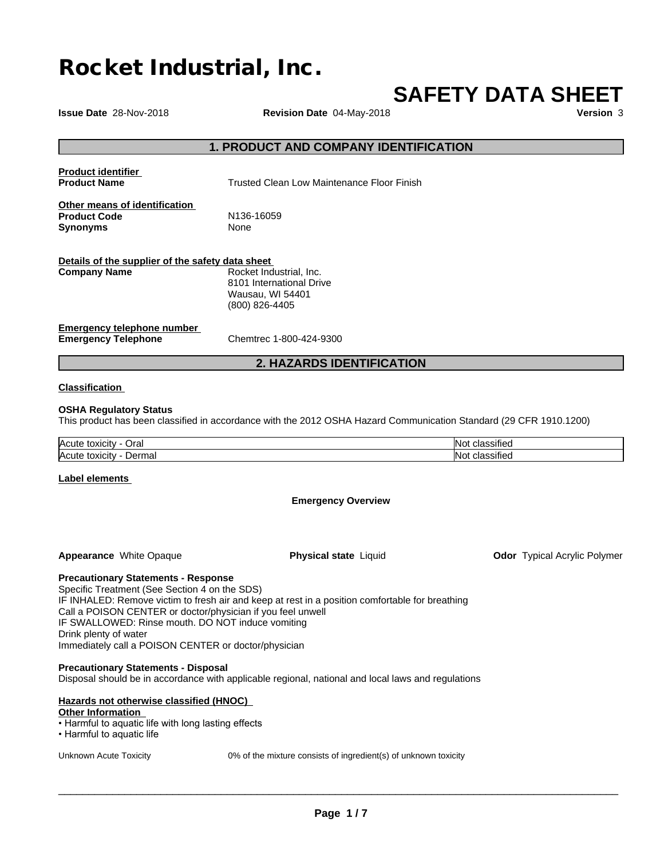# **Rocket Industrial, Inc.**

# **SAFETY DATA SHEET**

**Issue Date** 28-Nov-2018 **Revision Date** 04-May-2018 **Version** 3

# **1. PRODUCT AND COMPANY IDENTIFICATION**

| <b>Product identifier</b><br><b>Product Name</b>                        | Trusted Clean Low Maintenance Floor Finish                                                |
|-------------------------------------------------------------------------|-------------------------------------------------------------------------------------------|
| Other means of identification<br><b>Product Code</b><br><b>Synonyms</b> | N <sub>136</sub> -16059<br>None                                                           |
| Details of the supplier of the safety data sheet<br><b>Company Name</b> | Rocket Industrial, Inc.<br>8101 International Drive<br>Wausau, WI 54401<br>(800) 826-4405 |
| Emergency telephone number                                              |                                                                                           |

**Emergency Telephone** Chemtrec 1-800-424-9300

# **2. HAZARDS IDENTIFICATION**

### **Classification**

### **OSHA Regulatory Status**

This product has been classified in accordance with the 2012 OSHA Hazard Communication Standard (29 CFR 1910.1200)

| <b>Acute</b>                           | $\cdots$                    |
|----------------------------------------|-----------------------------|
| ⊃ra⊧                                   | .                           |
| toxicity                               | smeo                        |
| <b>Acute</b><br>toxicity<br>maı<br>ver | $\cdots$<br>-------<br>smeo |

### **Label elements**

### **Emergency Overview**

**Appearance** White Opaque **Physical state** Liquid

**Odor** Typical Acrylic Polymer

**Precautionary Statements - Response**

Specific Treatment (See Section 4 on the SDS) IF INHALED: Remove victim to fresh air and keep at rest in a position comfortable for breathing Call a POISON CENTER or doctor/physician if you feel unwell IF SWALLOWED: Rinse mouth. DO NOT induce vomiting Drink plenty of water Immediately call a POISON CENTER or doctor/physician

### **Precautionary Statements - Disposal**

Disposal should be in accordance with applicable regional, national and local laws and regulations

# **Hazards not otherwise classified (HNOC)**

**Other Information**

- Harmful to aquatic life with long lasting effects
- Harmful to aquatic life

Unknown Acute Toxicity 0% of the mixture consists of ingredient(s) of unknown toxicity

 $\overline{\phantom{a}}$  ,  $\overline{\phantom{a}}$  ,  $\overline{\phantom{a}}$  ,  $\overline{\phantom{a}}$  ,  $\overline{\phantom{a}}$  ,  $\overline{\phantom{a}}$  ,  $\overline{\phantom{a}}$  ,  $\overline{\phantom{a}}$  ,  $\overline{\phantom{a}}$  ,  $\overline{\phantom{a}}$  ,  $\overline{\phantom{a}}$  ,  $\overline{\phantom{a}}$  ,  $\overline{\phantom{a}}$  ,  $\overline{\phantom{a}}$  ,  $\overline{\phantom{a}}$  ,  $\overline{\phantom{a}}$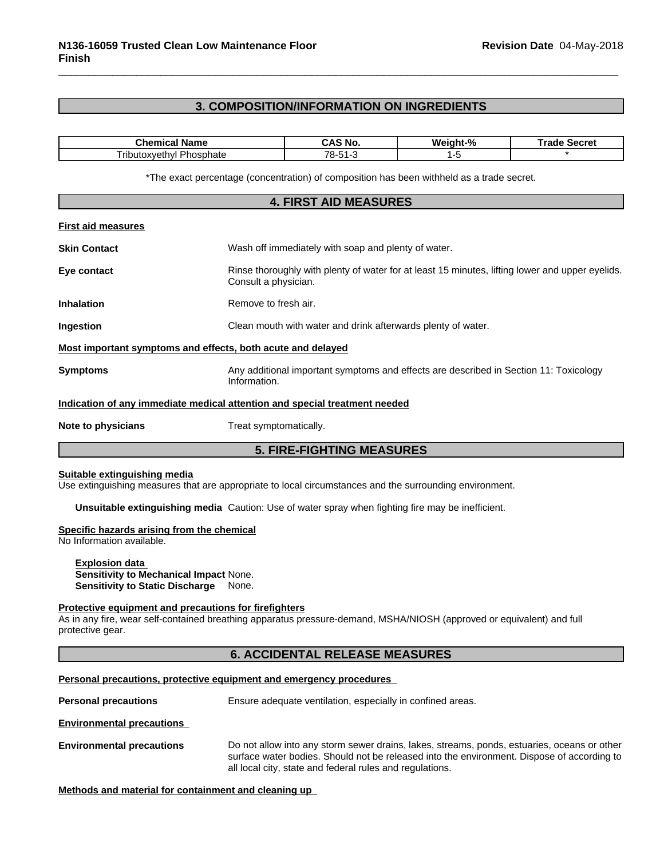# **3. COMPOSITION/INFORMATION ON INGREDIENTS**

| <br>- ---                                               | ' No       | м.<br>m<br>70 | JELI EI |
|---------------------------------------------------------|------------|---------------|---------|
| $ -$<br>`rihi.<br><br>11 L<br>$^{\prime\prime}$<br>חומו | 78-<br>- 1 |               |         |

\*The exact percentage (concentration) of composition has been withheld as a trade secret.

# **4. FIRST AID MEASURES First aid measures Skin Contact** Mash off immediately with soap and plenty of water. **Eye contact** Exercise Rinse thoroughly with plenty of water for at least 15 minutes, lifting lower and upper eyelids. Consult a physician. **Inhalation** Remove to fresh air. **Ingestion Clean mouth with water and drink afterwards plenty of water. Most important symptoms and effects, both acute and delayed Symptoms Any additional important symptoms and effects are described in Section 11: Toxicology** Information. **Indication of any immediate medical attention and special treatment needed Note to physicians** Treat symptomatically.

# **5. FIRE-FIGHTING MEASURES**

### **Suitable extinguishing media**

Use extinguishing measures that are appropriate to local circumstances and the surrounding environment.

**Unsuitable extinguishing media** Caution: Use of water spray when fighting fire may be inefficient.

### **Specific hazards arising from the chemical**

No Information available.

### **Explosion data Sensitivity to Mechanical Impact** None.

**Sensitivity to Static Discharge** None.

### **Protective equipment and precautions for firefighters**

As in any fire, wear self-contained breathing apparatus pressure-demand, MSHA/NIOSH (approved or equivalent) and full protective gear.

# **6. ACCIDENTAL RELEASE MEASURES**

### **Personal precautions, protective equipment and emergency procedures**

**Personal precautions** Ensure adequate ventilation, especially in confined areas.

**Environmental precautions**

**Environmental precautions** Do not allow into any storm sewer drains, lakes, streams, ponds, estuaries, oceans or other surface water bodies. Should not be released into the environment. Dispose of according to all local city, state and federal rules and regulations.

**Methods and material for containment and cleaning up**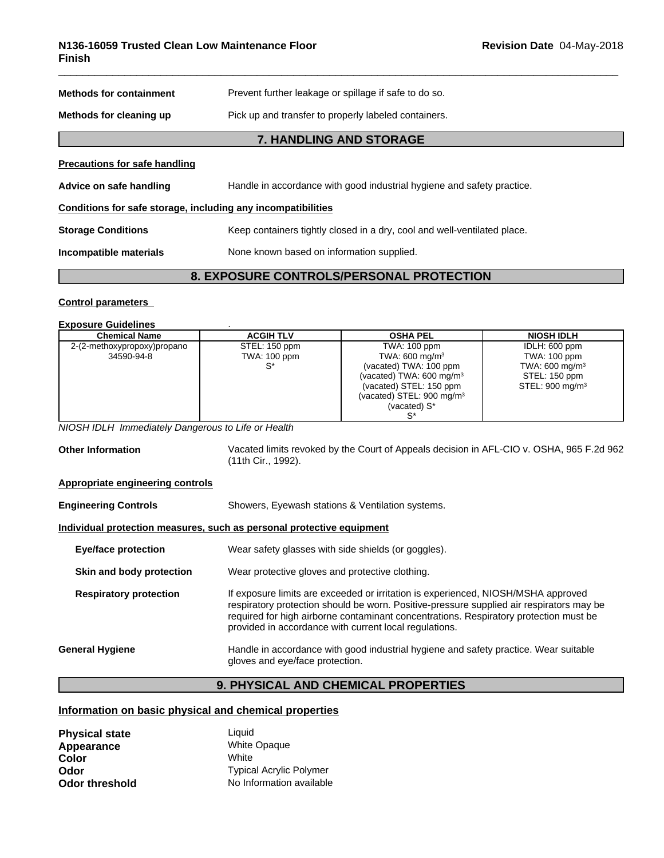| <b>Methods for containment</b>                               | Prevent further leakage or spillage if safe to do so.                    |
|--------------------------------------------------------------|--------------------------------------------------------------------------|
| Methods for cleaning up                                      | Pick up and transfer to properly labeled containers.                     |
|                                                              | <b>7. HANDLING AND STORAGE</b>                                           |
| <b>Precautions for safe handling</b>                         |                                                                          |
| Advice on safe handling                                      | Handle in accordance with good industrial hygiene and safety practice.   |
| Conditions for safe storage, including any incompatibilities |                                                                          |
| <b>Storage Conditions</b>                                    | Keep containers tightly closed in a dry, cool and well-ventilated place. |
| Incompatible materials                                       | None known based on information supplied.                                |
|                                                              |                                                                          |

# **8. EXPOSURE CONTROLS/PERSONAL PROTECTION**

### **Control parameters**

### **Exposure Guidelines** .

| <b>Chemical Name</b>        | <b>ACGIH TLV</b> | <b>OSHA PEL</b>                      | <b>NIOSH IDLH</b>           |
|-----------------------------|------------------|--------------------------------------|-----------------------------|
| 2-(2-methoxypropoxy)propano | STEL: 150 ppm    | TWA: 100 ppm                         | IDLH: 600 ppm               |
| 34590-94-8                  | TWA: 100 ppm     | TWA: $600 \text{ mg/m}^3$            | TWA: 100 ppm                |
|                             |                  | (vacated) TWA: 100 ppm               | TWA: $600 \text{ mg/m}^3$   |
|                             |                  | (vacated) TWA: $600 \text{ mg/m}^3$  | STEL: 150 ppm               |
|                             |                  | (vacated) STEL: 150 ppm              | STEL: 900 mg/m <sup>3</sup> |
|                             |                  | (vacated) STEL: $900 \text{ mg/m}^3$ |                             |
|                             |                  | (vacated) S*                         |                             |
|                             |                  |                                      |                             |

*NIOSH IDLH Immediately Dangerous to Life or Health*

**Other Information** Vacated limits revoked by the Court of Appeals decision in AFL-CIO v.OSHA, 965 F.2d 962 (11th Cir., 1992). **Appropriate engineering controls Engineering Controls** Showers, Eyewash stations & Ventilation systems.

# **Individual protection measures, such as personal protective equipment**

| <b>Eye/face protection</b>    | Wear safety glasses with side shields (or goggles).                                                                                                                                                                                                                                                                              |
|-------------------------------|----------------------------------------------------------------------------------------------------------------------------------------------------------------------------------------------------------------------------------------------------------------------------------------------------------------------------------|
| Skin and body protection      | Wear protective gloves and protective clothing.                                                                                                                                                                                                                                                                                  |
| <b>Respiratory protection</b> | If exposure limits are exceeded or irritation is experienced, NIOSH/MSHA approved<br>respiratory protection should be worn. Positive-pressure supplied air respirators may be<br>required for high airborne contaminant concentrations. Respiratory protection must be<br>provided in accordance with current local regulations. |
| General Hygiene               | Handle in accordance with good industrial hygiene and safety practice. Wear suitable<br>gloves and eye/face protection.                                                                                                                                                                                                          |

# **9. PHYSICAL AND CHEMICAL PROPERTIES**

# **Information on basic physical and chemical properties**

| <b>Physical state</b> | Liauid                         |
|-----------------------|--------------------------------|
| Appearance            | <b>White Opaque</b>            |
| Color                 | White                          |
| Odor                  | <b>Typical Acrylic Polymer</b> |
| <b>Odor threshold</b> | No Information available       |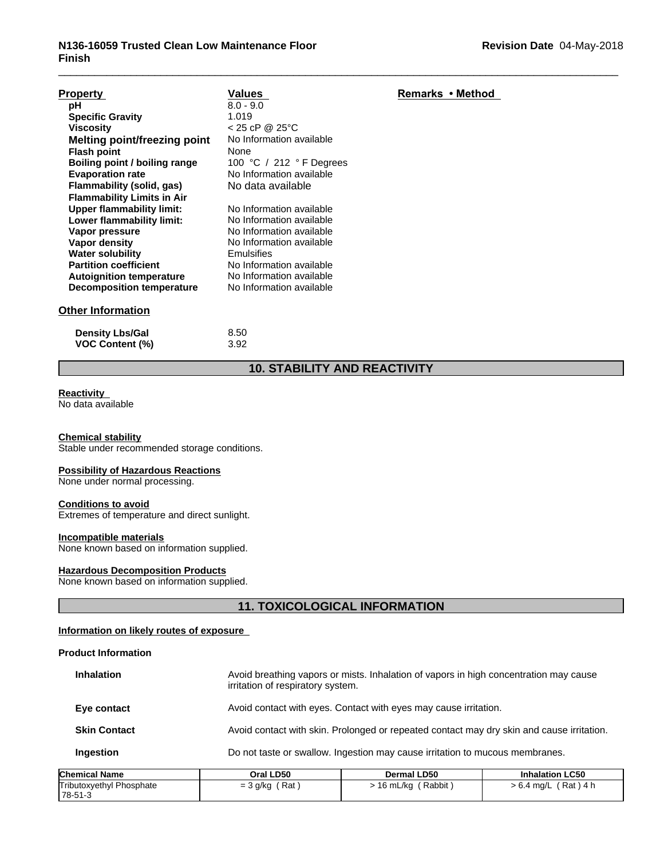| <b>Property</b>                   | Values                   | Remarks • Method |
|-----------------------------------|--------------------------|------------------|
| рH                                | $8.0 - 9.0$              |                  |
| <b>Specific Gravity</b>           | 1.019                    |                  |
| <b>Viscosity</b>                  | $< 25$ cP @ 25°C         |                  |
| Melting point/freezing point      | No Information available |                  |
| <b>Flash point</b>                | None                     |                  |
| Boiling point / boiling range     | 100 °C / 212 °F Degrees  |                  |
| <b>Evaporation rate</b>           | No Information available |                  |
| Flammability (solid, gas)         | No data available        |                  |
| <b>Flammability Limits in Air</b> |                          |                  |
| <b>Upper flammability limit:</b>  | No Information available |                  |
| Lower flammability limit:         | No Information available |                  |
| Vapor pressure                    | No Information available |                  |
| Vapor density                     | No Information available |                  |
| <b>Water solubility</b>           | Emulsifies               |                  |
| <b>Partition coefficient</b>      | No Information available |                  |
| <b>Autoignition temperature</b>   | No Information available |                  |
| Decomposition temperature         | No Information available |                  |
| <b>Other Information</b>          |                          |                  |
| <b>Density Lbs/Gal</b>            | 8.50                     |                  |

# **10. STABILITY AND REACTIVITY**

# **Reactivity**

No data available

### **Chemical stability**

Stable under recommended storage conditions.

**VOC Content (%)** 3.92

# **Possibility of Hazardous Reactions**

None under normal processing.

### **Conditions to avoid**

Extremes of temperature and direct sunlight.

# **Incompatible materials**

None known based on information supplied.

# **Hazardous Decomposition Products**

None known based on information supplied.

# **11. TOXICOLOGICAL INFORMATION**

# **Information on likely routes of exposure**

### **Product Information**

| namical Nama        | Oral I D50                        | Dermal I D50                                                                              | Inhalation I C50 |
|---------------------|-----------------------------------|-------------------------------------------------------------------------------------------|------------------|
| Ingestion           |                                   | Do not taste or swallow. Ingestion may cause irritation to mucous membranes.              |                  |
| <b>Skin Contact</b> |                                   | Avoid contact with skin. Prolonged or repeated contact may dry skin and cause irritation. |                  |
| Eye contact         |                                   | Avoid contact with eyes. Contact with eyes may cause irritation.                          |                  |
| <b>Inhalation</b>   | irritation of respiratory system. | Avoid breathing vapors or mists. Inhalation of vapors in high concentration may cause     |                  |

| <b>Chemical Name</b>     | Oral LD50       | Dermal LD50                          | <b>Inhalation LC50</b>     |
|--------------------------|-----------------|--------------------------------------|----------------------------|
| Tributoxyethyl Phosphate | Rat<br>= 3 g/kg | Rabbit<br>$\overline{ }$<br>.6 mL/ka | ´ Rat ) 4 h<br>$>6.4$ ma/L |
| 78-51-3                  |                 |                                      |                            |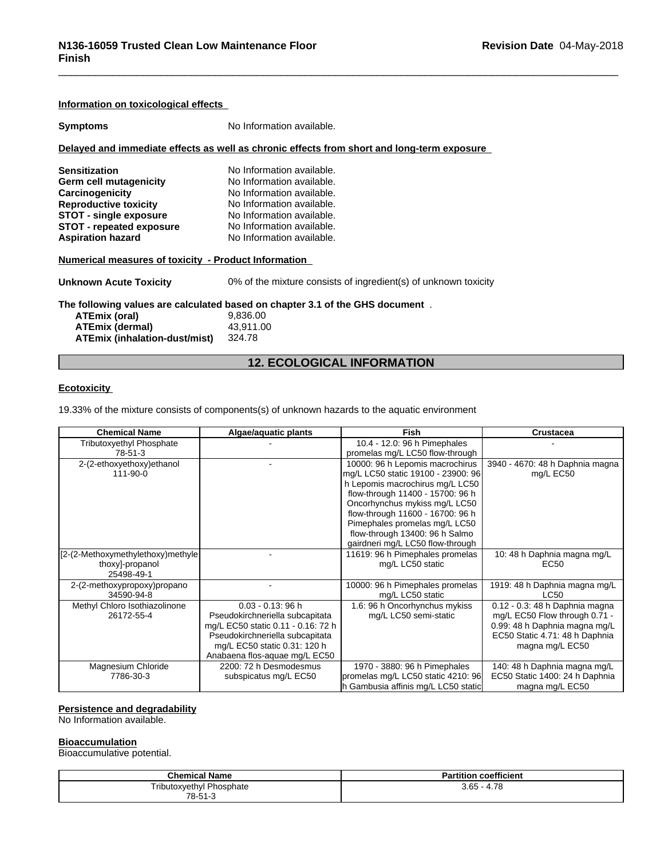| Information on toxicological effects                                                                                                                                         |                                                                                                                                                                            |
|------------------------------------------------------------------------------------------------------------------------------------------------------------------------------|----------------------------------------------------------------------------------------------------------------------------------------------------------------------------|
| <b>Symptoms</b>                                                                                                                                                              | No Information available.                                                                                                                                                  |
|                                                                                                                                                                              | Delayed and immediate effects as well as chronic effects from short and long-term exposure                                                                                 |
| <b>Sensitization</b><br><b>Germ cell mutagenicity</b><br>Carcinogenicity<br><b>Reproductive toxicity</b><br><b>STOT - single exposure</b><br><b>STOT - repeated exposure</b> | No Information available.<br>No Information available.<br>No Information available.<br>No Information available.<br>No Information available.<br>No Information available. |
| <b>Aspiration hazard</b><br>Numerical measures of toxicity - Product Information                                                                                             | No Information available.                                                                                                                                                  |
| <b>Unknown Acute Toxicity</b>                                                                                                                                                | 0% of the mixture consists of ingredient(s) of unknown toxicity                                                                                                            |
| ATEmix (oral)<br><b>ATEmix (dermal)</b><br>ATEmix (inhalation-dust/mist)                                                                                                     | The following values are calculated based on chapter 3.1 of the GHS document.<br>9.836.00<br>43,911.00<br>324.78                                                           |

# **12. ECOLOGICAL INFORMATION**

### **Ecotoxicity**

19.33% of the mixture consists of components(s) of unknown hazards to the aquatic environment

| <b>Chemical Name</b>              | Algae/aquatic plants               | <b>Fish</b>                         | <b>Crustacea</b>                |
|-----------------------------------|------------------------------------|-------------------------------------|---------------------------------|
| <b>Tributoxyethyl Phosphate</b>   |                                    | 10.4 - 12.0: 96 h Pimephales        |                                 |
| 78-51-3                           |                                    | promelas mg/L LC50 flow-through     |                                 |
| 2-(2-ethoxyethoxy)ethanol         |                                    | 10000: 96 h Lepomis macrochirus     | 3940 - 4670: 48 h Daphnia magna |
| 111-90-0                          |                                    | mg/L LC50 static 19100 - 23900: 96  | mg/L EC50                       |
|                                   |                                    | h Lepomis macrochirus mg/L LC50     |                                 |
|                                   |                                    | flow-through 11400 - 15700: 96 h    |                                 |
|                                   |                                    | Oncorhynchus mykiss mg/L LC50       |                                 |
|                                   |                                    | flow-through 11600 - 16700: 96 h    |                                 |
|                                   |                                    | Pimephales promelas mg/L LC50       |                                 |
|                                   |                                    | flow-through 13400: 96 h Salmo      |                                 |
|                                   |                                    | gairdneri mg/L LC50 flow-through    |                                 |
| [2-(2-Methoxymethylethoxy)methyle |                                    | 11619: 96 h Pimephales promelas     | 10: 48 h Daphnia magna mg/L     |
| thoxy]-propanol                   |                                    | mg/L LC50 static                    | <b>EC50</b>                     |
| 25498-49-1                        |                                    |                                     |                                 |
| 2-(2-methoxypropoxy)propano       |                                    | 10000: 96 h Pimephales promelas     | 1919: 48 h Daphnia magna mg/L   |
| 34590-94-8                        |                                    | mg/L LC50 static                    | LC50                            |
| Methyl Chloro Isothiazolinone     | $0.03 - 0.13$ : 96 h               | 1.6: 96 h Oncorhynchus mykiss       | 0.12 - 0.3: 48 h Daphnia magna  |
| 26172-55-4                        | Pseudokirchneriella subcapitata    | mg/L LC50 semi-static               | mg/L EC50 Flow through 0.71 -   |
|                                   | mg/L EC50 static 0.11 - 0.16: 72 h |                                     | 0.99: 48 h Daphnia magna mg/L   |
|                                   | Pseudokirchneriella subcapitata    |                                     | EC50 Static 4.71: 48 h Daphnia  |
|                                   | mg/L EC50 static 0.31: 120 h       |                                     | magna mg/L EC50                 |
|                                   | Anabaena flos-aquae mg/L EC50      |                                     |                                 |
| Magnesium Chloride                | 2200: 72 h Desmodesmus             | 1970 - 3880: 96 h Pimephales        | 140: 48 h Daphnia magna mg/L    |
| 7786-30-3                         | subspicatus mg/L EC50              | promelas mg/L LC50 static 4210: 96  | EC50 Static 1400: 24 h Daphnia  |
|                                   |                                    | h Gambusia affinis mg/L LC50 static | magna mg/L EC50                 |

# **Persistence and degradability**

No Information available.

### **Bioaccumulation**

Bioaccumulative potential.

| <b>Chemical Name</b>            | <b>Partition coefficient</b> |
|---------------------------------|------------------------------|
| <b>Tributoxyethyl Phosphate</b> | $3.65 - 4.78$                |
| 78-51-3                         |                              |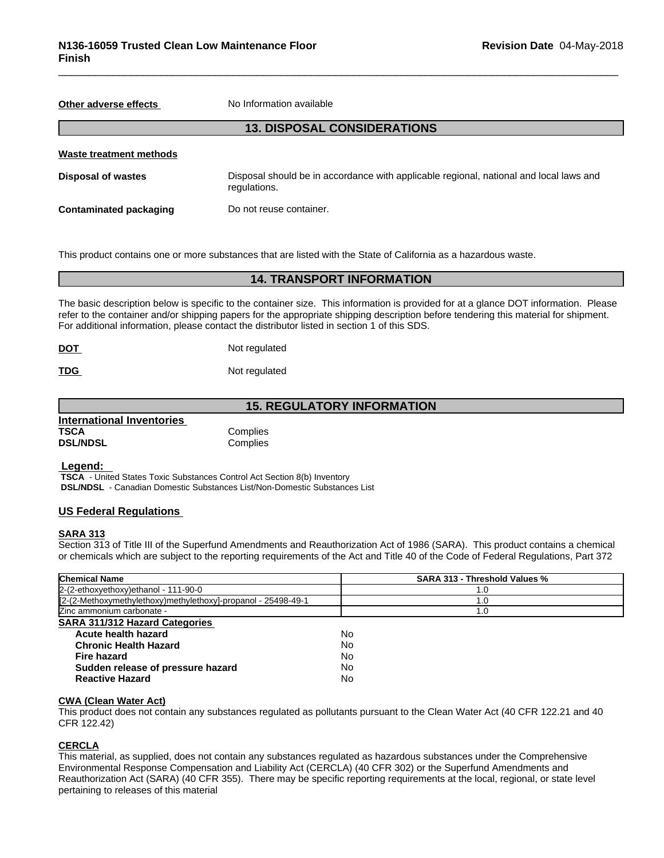**Other adverse effects** No Information available

# **13. DISPOSAL CONSIDERATIONS**

| Waste treatment methods |                                                                                                        |
|-------------------------|--------------------------------------------------------------------------------------------------------|
| Disposal of wastes      | Disposal should be in accordance with applicable regional, national and local laws and<br>regulations. |
| Contaminated packaging  | Do not reuse container.                                                                                |

This product contains one or more substances that are listed with the State of California as a hazardous waste.

# **14. TRANSPORT INFORMATION**

The basic description below is specific to the container size. This information is provided for at a glance DOT information. Please refer to the container and/or shipping papers for the appropriate shipping description before tendering this material for shipment. For additional information, please contact the distributor listed in section 1 of this SDS.

| <b>DOT</b> | Not regulated |  |
|------------|---------------|--|
|            |               |  |

**TDG** Not regulated

# **15. REGULATORY INFORMATION**

| International Inventories |          |  |
|---------------------------|----------|--|
| TSCA                      | Complies |  |
| <b>DSL/NDSL</b>           | Complies |  |

 **Legend:** 

 **TSCA** - United States Toxic Substances Control Act Section 8(b) Inventory  **DSL/NDSL** - Canadian Domestic Substances List/Non-Domestic Substances List

### **US Federal Regulations**

### **SARA 313**

Section 313 of Title III of the Superfund Amendments and Reauthorization Act of 1986 (SARA). This product contains a chemical or chemicals which are subject to the reporting requirements of the Act and Title 40 of the Code of Federal Regulations, Part 372

| <b>Chemical Name</b>                                          | <b>SARA 313 - Threshold Values %</b> |
|---------------------------------------------------------------|--------------------------------------|
| 2-(2-ethoxyethoxy) ethanol - 111-90-0                         | 1.0                                  |
| [2-(2-Methoxymethylethoxy)methylethoxy]-propanol - 25498-49-1 | 1.0                                  |
| Zinc ammonium carbonate -                                     | 1.0                                  |
| SARA 311/312 Hazard Categories                                |                                      |
| Acute health hazard                                           | No                                   |
| <b>Chronic Health Hazard</b>                                  | No                                   |
| <b>Fire hazard</b>                                            | No                                   |
| Sudden release of pressure hazard                             | No                                   |
| <b>Reactive Hazard</b>                                        | No                                   |
|                                                               |                                      |

### **CWA (Clean WaterAct)**

This product does not contain any substances regulated as pollutants pursuant to the Clean Water Act (40 CFR 122.21 and 40 CFR 122.42)

### **CERCLA**

This material, as supplied, does not contain any substances regulated as hazardous substances under the Comprehensive Environmental Response Compensation and Liability Act (CERCLA) (40 CFR 302) or the Superfund Amendments and Reauthorization Act (SARA) (40 CFR 355). There may be specific reporting requirements at the local, regional, or state level pertaining to releases of this material